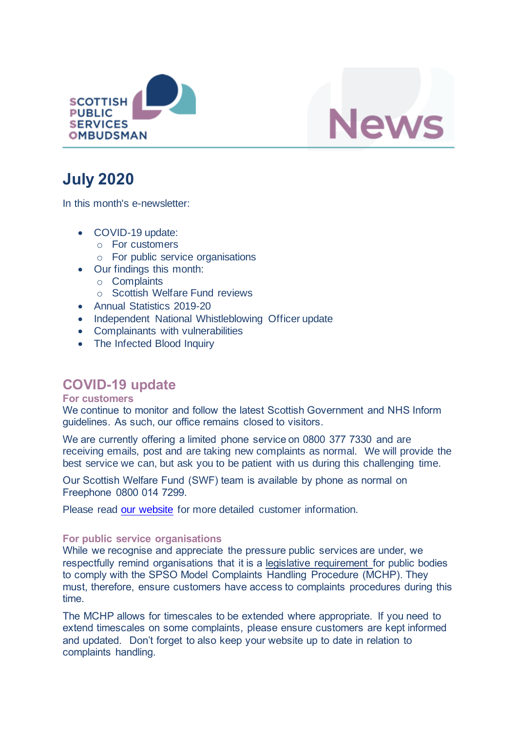



# **July 2020**

In this month's e-newsletter:

- COVID-19 update:
	- o For customers
	- o For public service organisations
- Our findings this month:
	- o Complaints
	- o Scottish Welfare Fund reviews
- Annual Statistics 2019-20
- Independent National Whistleblowing Officer update
- Complainants with vulnerabilities
- The Infected Blood Inquiry

## **COVID-19 update**

#### **For customers**

We continue to monitor and follow the latest Scottish Government and NHS Inform guidelines. As such, our office remains closed to visitors.

We are currently offering a limited phone service on 0800 377 7330 and are receiving emails, post and are taking new complaints as normal. We will provide the best service we can, but ask you to be patient with us during this challenging time.

Our Scottish Welfare Fund (SWF) team is available by phone as normal on Freephone 0800 014 7299.

Please read [our website](https://www.spso.org.uk/covid-19-update-for-customers) for more detailed customer information.

#### **For public service organisations**

While we recognise and appreciate the pressure public services are under, we respectfully remind organisations that it is a legislative requirement for public bodies to comply with the SPSO Model Complaints Handling Procedure (MCHP). They must, therefore, ensure customers have access to complaints procedures during this time.

The MCHP allows for timescales to be extended where appropriate. If you need to extend timescales on some complaints, please ensure customers are kept informed and updated. Don't forget to also keep your website up to date in relation to complaints handling.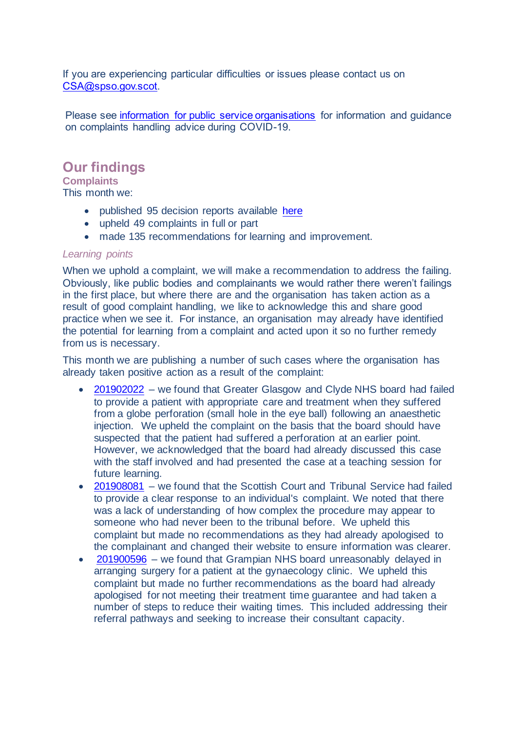If you are experiencing particular difficulties or issues please contact us on [CSA@spso.gov.scot.](mailto:CSA@spso.gov.scot)

Please see [information for public service organisations](https://www.spso.org.uk/covid-19-update-for-public-service-organisations) for information and guidance on complaints handling advice during COVID-19.

### **Our findings**

**Complaints**

This month we:

- published 95 decision reports available [here](https://www.spso.org.uk/our-findings)
- upheld 49 complaints in full or part
- made 135 recommendations for learning and improvement.

#### *Learning points*

When we uphold a complaint, we will make a recommendation to address the failing. Obviously, like public bodies and complainants we would rather there weren't failings in the first place, but where there are and the organisation has taken action as a result of good complaint handling, we like to acknowledge this and share good practice when we see it. For instance, an organisation may already have identified the potential for learning from a complaint and acted upon it so no further remedy from us is necessary.

This month we are publishing a number of such cases where the organisation has already taken positive action as a result of the complaint:

- [201902022](https://www.spso.org.uk/decision-reports/2020/july/decision-report-201902022-201902022) we found that Greater Glasgow and Clyde NHS board had failed to provide a patient with appropriate care and treatment when they suffered from a globe perforation (small hole in the eye ball) following an anaesthetic injection. We upheld the complaint on the basis that the board should have suspected that the patient had suffered a perforation at an earlier point. However, we acknowledged that the board had already discussed this case with the staff involved and had presented the case at a teaching session for future learning.
- [201908081](https://www.spso.org.uk/decision-reports/2020/july/decision-report-201908081-201908081) we found that the Scottish Court and Tribunal Service had failed to provide a clear response to an individual's complaint. We noted that there was a lack of understanding of how complex the procedure may appear to someone who had never been to the tribunal before. We upheld this complaint but made no recommendations as they had already apologised to the complainant and changed their website to ensure information was clearer.
- [201900596](https://www.spso.org.uk/decision-reports/2020/july/decision-report-201900596-201900596) we found that Grampian NHS board unreasonably delayed in arranging surgery for a patient at the gynaecology clinic. We upheld this complaint but made no further recommendations as the board had already apologised for not meeting their treatment time guarantee and had taken a number of steps to reduce their waiting times. This included addressing their referral pathways and seeking to increase their consultant capacity.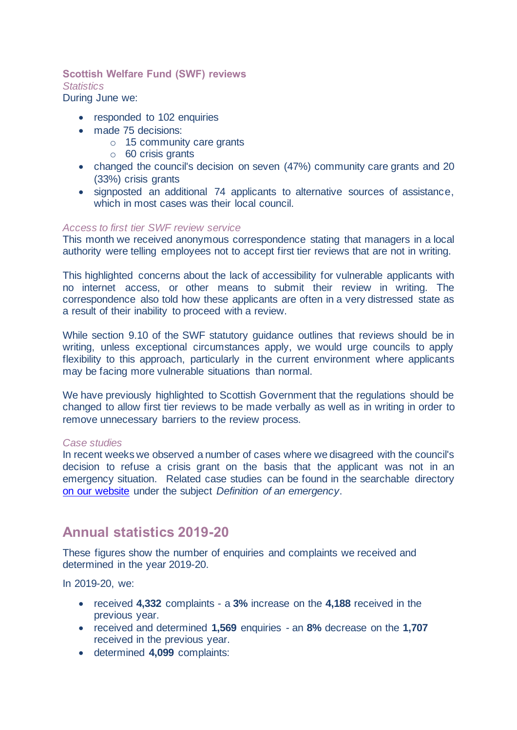### **Scottish Welfare Fund (SWF) reviews** *Statistics*

During June we:

- responded to 102 enquiries
- made 75 decisions:
	- o 15 community care grants
	- o 60 crisis grants
- changed the council's decision on seven (47%) community care grants and 20 (33%) crisis grants
- signposted an additional 74 applicants to alternative sources of assistance, which in most cases was their local council.

#### *Access to first tier SWF review service*

This month we received anonymous correspondence stating that managers in a local authority were telling employees not to accept first tier reviews that are not in writing.

This highlighted concerns about the lack of accessibility for vulnerable applicants with no internet access, or other means to submit their review in writing. The correspondence also told how these applicants are often in a very distressed state as a result of their inability to proceed with a review.

While section 9.10 of the SWF statutory guidance outlines that reviews should be in writing, unless exceptional circumstances apply, we would urge councils to apply flexibility to this approach, particularly in the current environment where applicants may be facing more vulnerable situations than normal.

We have previously highlighted to Scottish Government that the regulations should be changed to allow first tier reviews to be made verbally as well as in writing in order to remove unnecessary barriers to the review process.

#### *Case studies*

In recent weeks we observed a number of cases where we disagreed with the council's decision to refuse a crisis grant on the basis that the applicant was not in an emergency situation. Related case studies can be found in the searchable directory [on our website](https://www.spso.org.uk/scottishwelfarefund/case-summaries) under the subject *Definition of an emergency*.

### **Annual statistics 2019-20**

These figures show the number of enquiries and complaints we received and determined in the year 2019-20.

In 2019-20, we:

- received **4,332** complaints a **3%** increase on the **4,188** received in the previous year.
- received and determined **1,569** enquiries an **8%** decrease on the **1,707** received in the previous year.
- determined **4,099** complaints: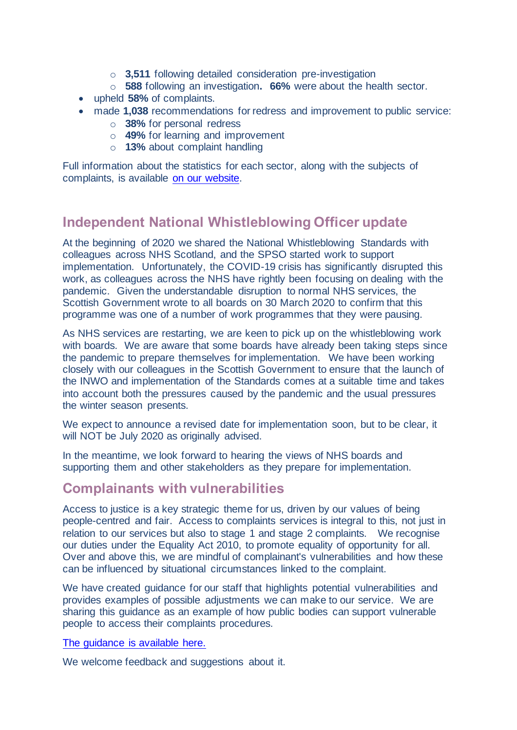- o **3,511** following detailed consideration pre-investigation
- o **588** following an investigation**. 66%** were about the health sector.
- upheld **58%** of complaints.
- made **1,038** recommendations for redress and improvement to public service:
	- o **38%** for personal redress
	- o **49%** for learning and improvement
	- o **13%** about complaint handling

Full information about the statistics for each sector, along with the subjects of complaints, is available [on our website.](https://www.spso.org.uk/statistics-2019-20) 

# **Independent National Whistleblowing Officer update**

At the beginning of 2020 we shared the National Whistleblowing Standards with colleagues across NHS Scotland, and the SPSO started work to support implementation. Unfortunately, the COVID-19 crisis has significantly disrupted this work, as colleagues across the NHS have rightly been focusing on dealing with the pandemic. Given the understandable disruption to normal NHS services, the Scottish Government wrote to all boards on 30 March 2020 to confirm that this programme was one of a number of work programmes that they were pausing.

As NHS services are restarting, we are keen to pick up on the whistleblowing work with boards. We are aware that some boards have already been taking steps since the pandemic to prepare themselves for implementation. We have been working closely with our colleagues in the Scottish Government to ensure that the launch of the INWO and implementation of the Standards comes at a suitable time and takes into account both the pressures caused by the pandemic and the usual pressures the winter season presents.

We expect to announce a revised date for implementation soon, but to be clear, it will NOT be July 2020 as originally advised.

In the meantime, we look forward to hearing the views of NHS boards and supporting them and other stakeholders as they prepare for implementation.

### **Complainants with vulnerabilities**

Access to justice is a key strategic theme for us, driven by our values of being people-centred and fair. Access to complaints services is integral to this, not just in relation to our services but also to stage 1 and stage 2 complaints. We recognise our duties under the Equality Act 2010, to promote equality of opportunity for all. Over and above this, we are mindful of complainant's vulnerabilities and how these can be influenced by situational circumstances linked to the complaint.

We have created guidance for our staff that highlights potential vulnerabilities and provides examples of possible adjustments we can make to our service. We are sharing this guidance as an example of how public bodies can support vulnerable people to access their complaints procedures.

#### [The guidance is available here.](https://www.spso.org.uk/sites/spso/files/csa/Complainants%20with%20Vulnerabilities.pdf)

We welcome feedback and suggestions about it.